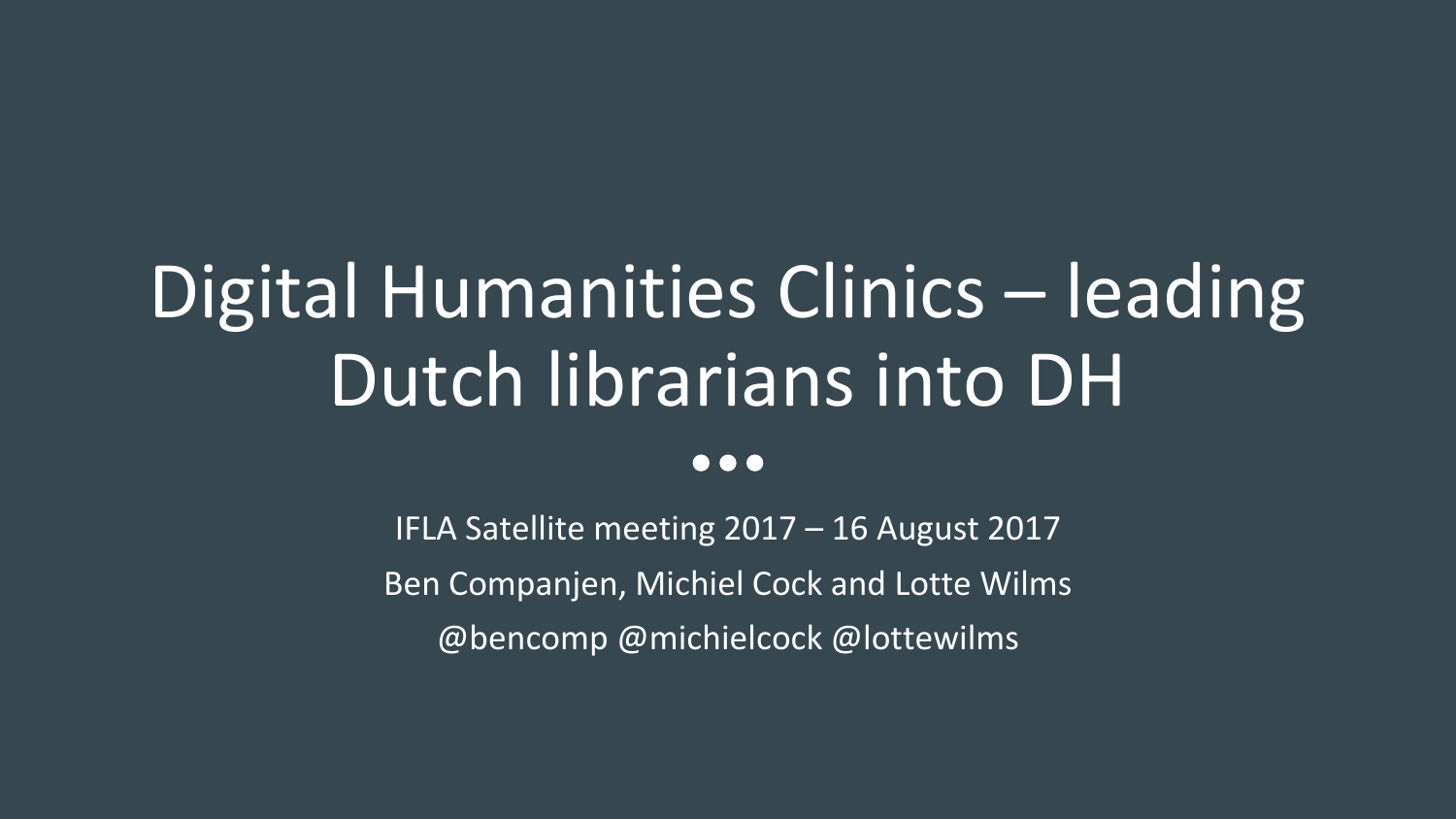# Digital Humanities Clinics – leading Dutch librarians into DH

#### $\bullet\bullet\bullet$

IFLA Satellite meeting 2017 – 16 August 2017 Ben Companjen, Michiel Cock and Lotte Wilms @bencomp @michielcock @lottewilms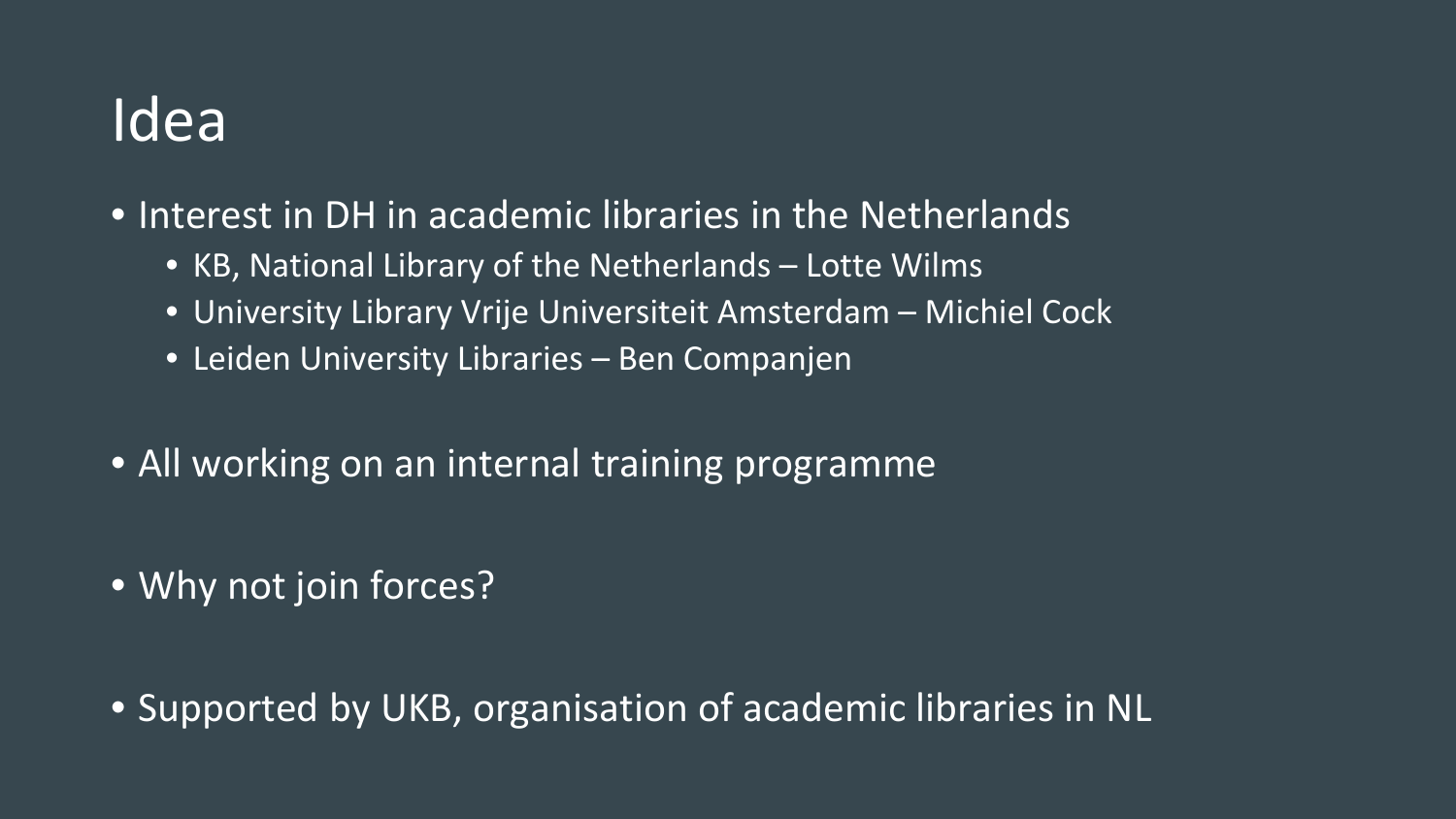#### Idea

- Interest in DH in academic libraries in the Netherlands
	- KB, National Library of the Netherlands Lotte Wilms
	- University Library Vrije Universiteit Amsterdam Michiel Cock
	- Leiden University Libraries Ben Companjen
- All working on an internal training programme
- Why not join forces?
- Supported by UKB, organisation of academic libraries in NL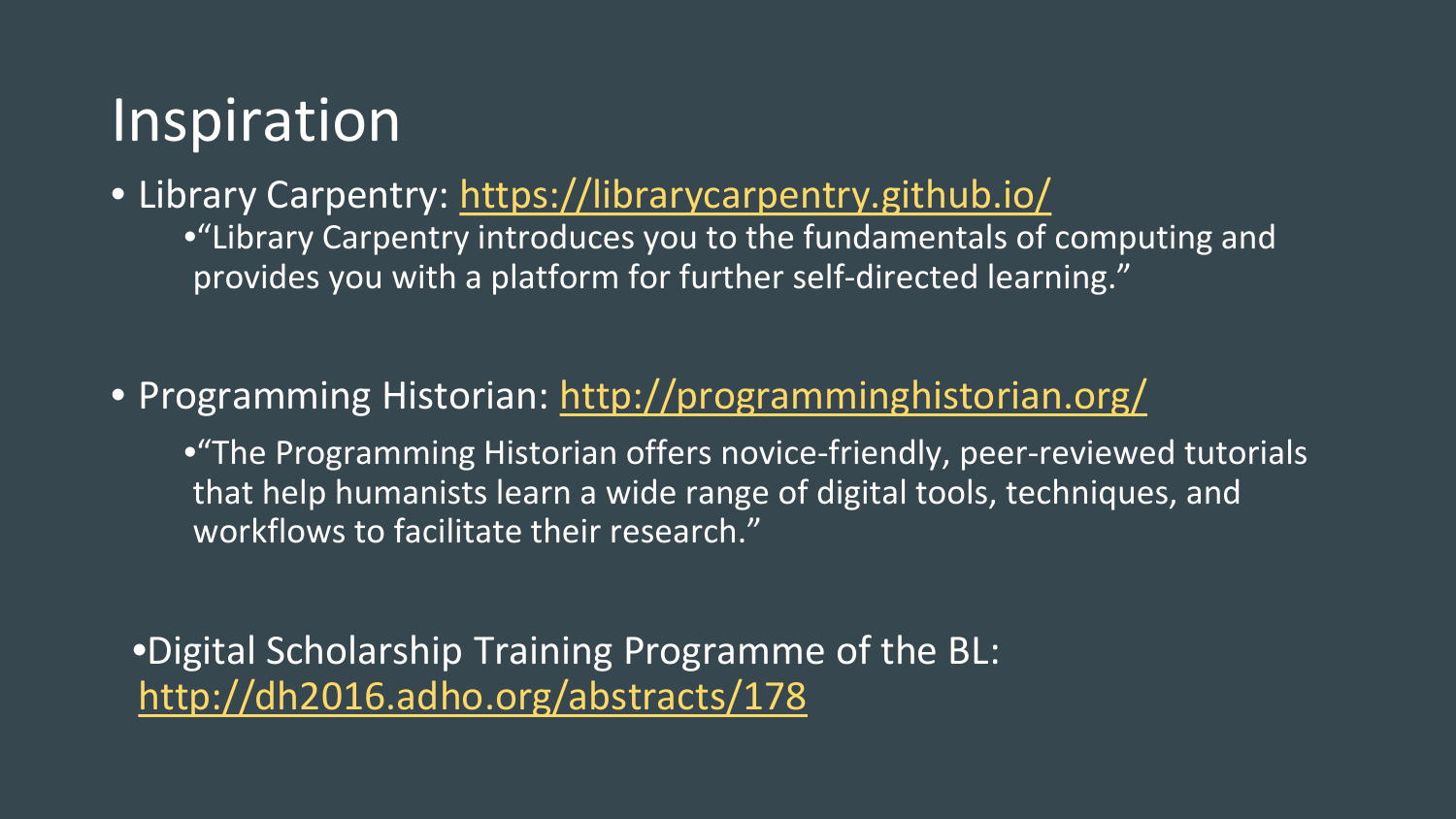### Inspiration

• Library Carpentry: <https://librarycarpentry.github.io/> •"Library Carpentry introduces you to the fundamentals of computing and provides you with a platform for further self-directed learning."

#### • Programming Historian: <http://programminghistorian.org/>

•"The Programming Historian offers novice-friendly, peer-reviewed tutorials that help humanists learn a wide range of digital tools, techniques, and workflows to facilitate their research."

•Digital Scholarship Training Programme of the BL: <http://dh2016.adho.org/abstracts/178>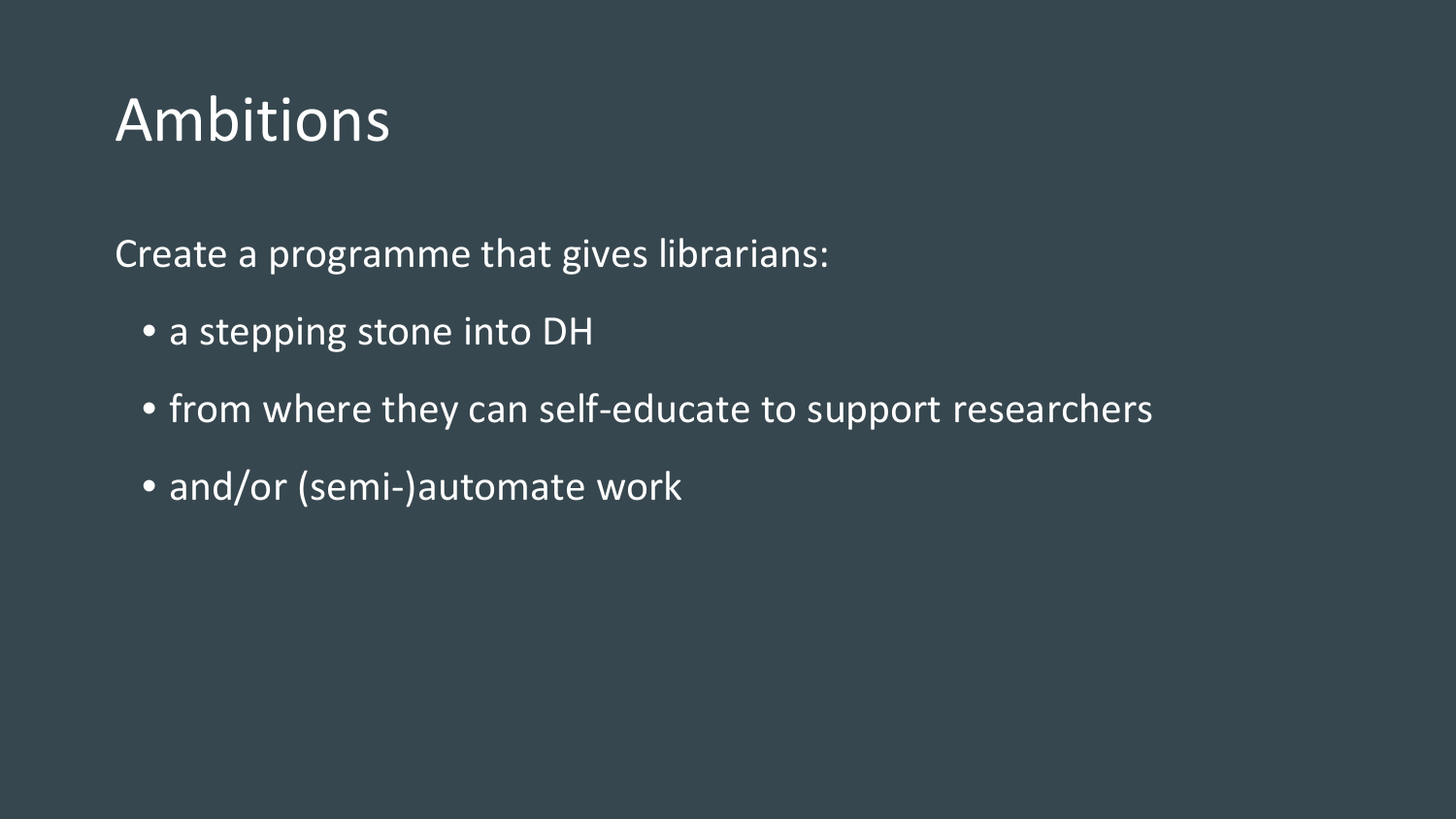#### Ambitions

Create a programme that gives librarians:

- a stepping stone into DH
- from where they can self-educate to support researchers
- and/or (semi-)automate work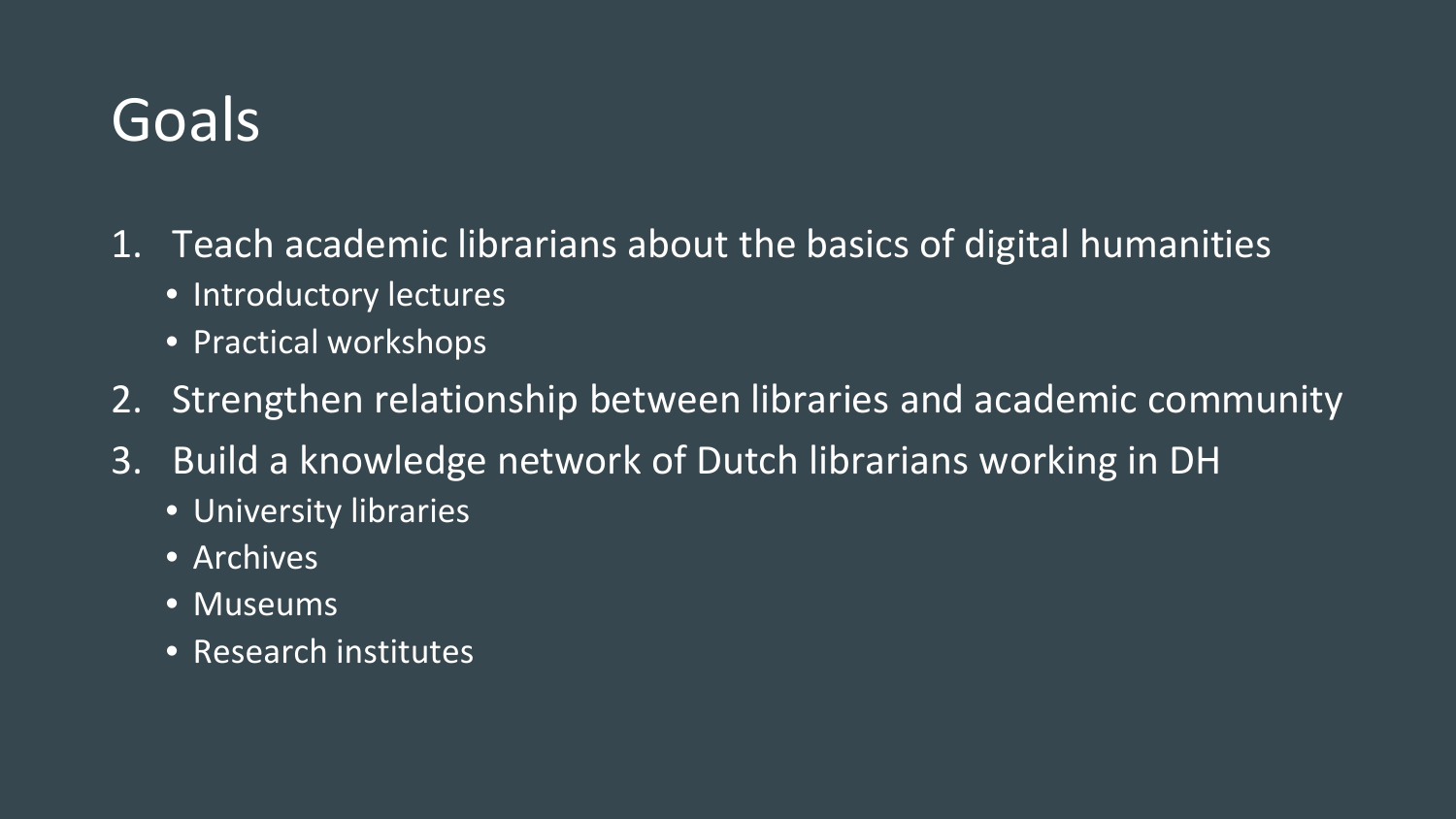#### Goals

- 1. Teach academic librarians about the basics of digital humanities
	- Introductory lectures
	- Practical workshops
- 2. Strengthen relationship between libraries and academic community
- 3. Build a knowledge network of Dutch librarians working in DH
	- University libraries
	- Archives
	- Museums
	- Research institutes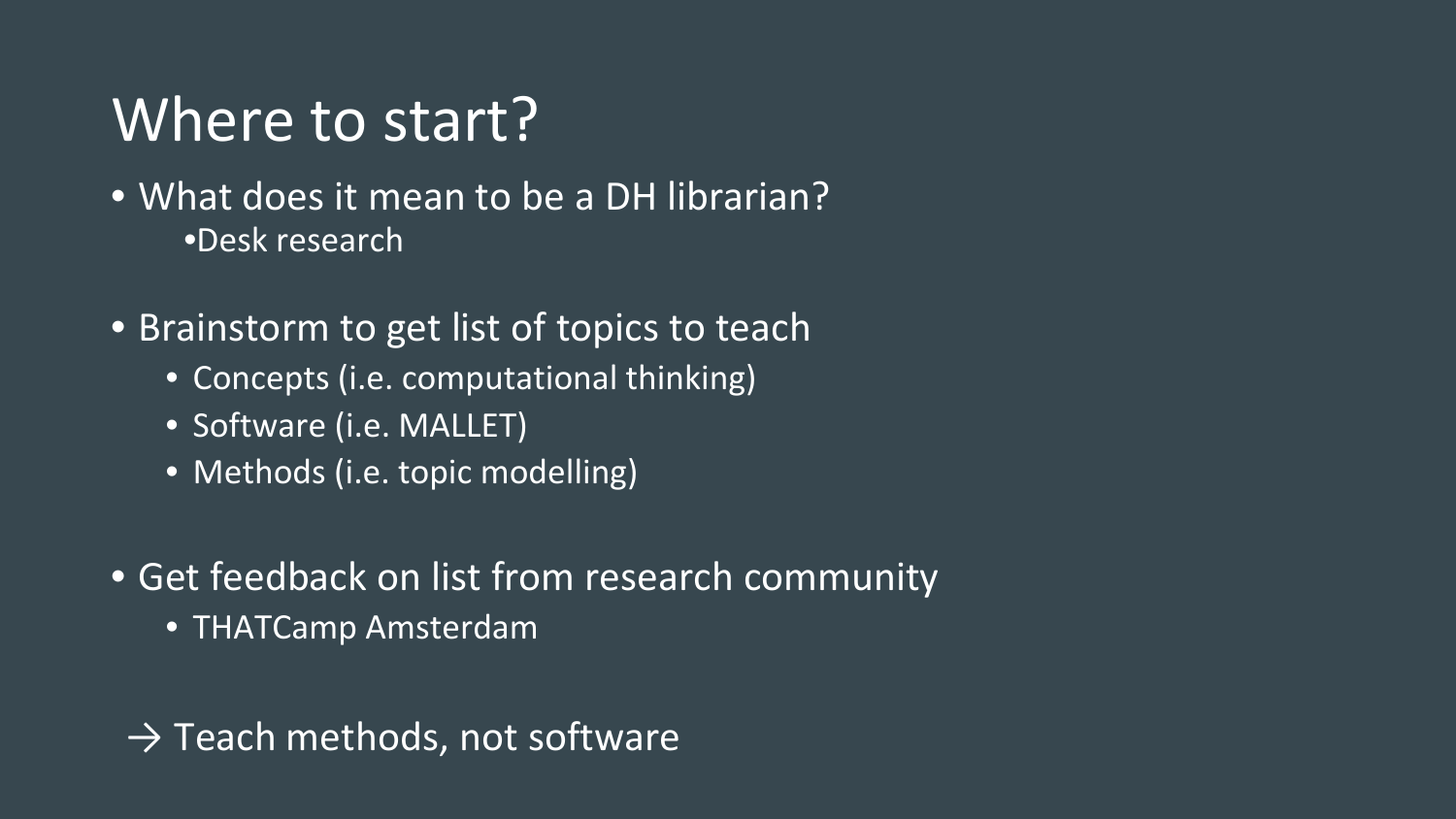#### Where to start?

#### • What does it mean to be a DH librarian? •Desk research

• Brainstorm to get list of topics to teach

- Concepts (i.e. computational thinking)
- Software (i.e. MALLET)
- Methods (i.e. topic modelling)
- Get feedback on list from research community
	- THATCamp Amsterdam

 $\rightarrow$  Teach methods, not software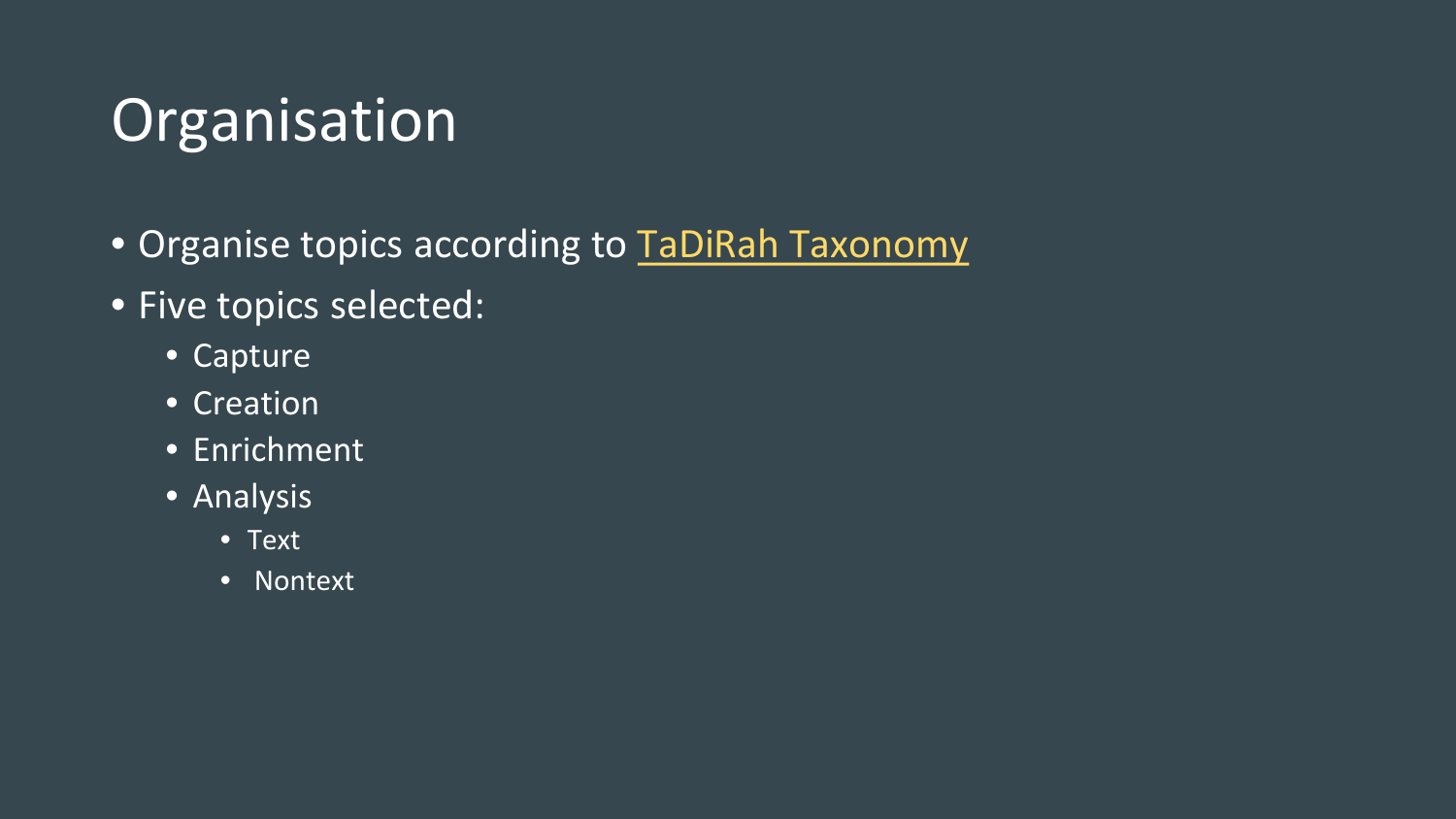### Organisation

- Organise topics according to [TaDiRah Taxonomy](http://tadirah.dariah.eu/vocab/index.php)
- Five topics selected:
	- Capture
	- Creation
	- Enrichment
	- Analysis
		- Text
		- Nontext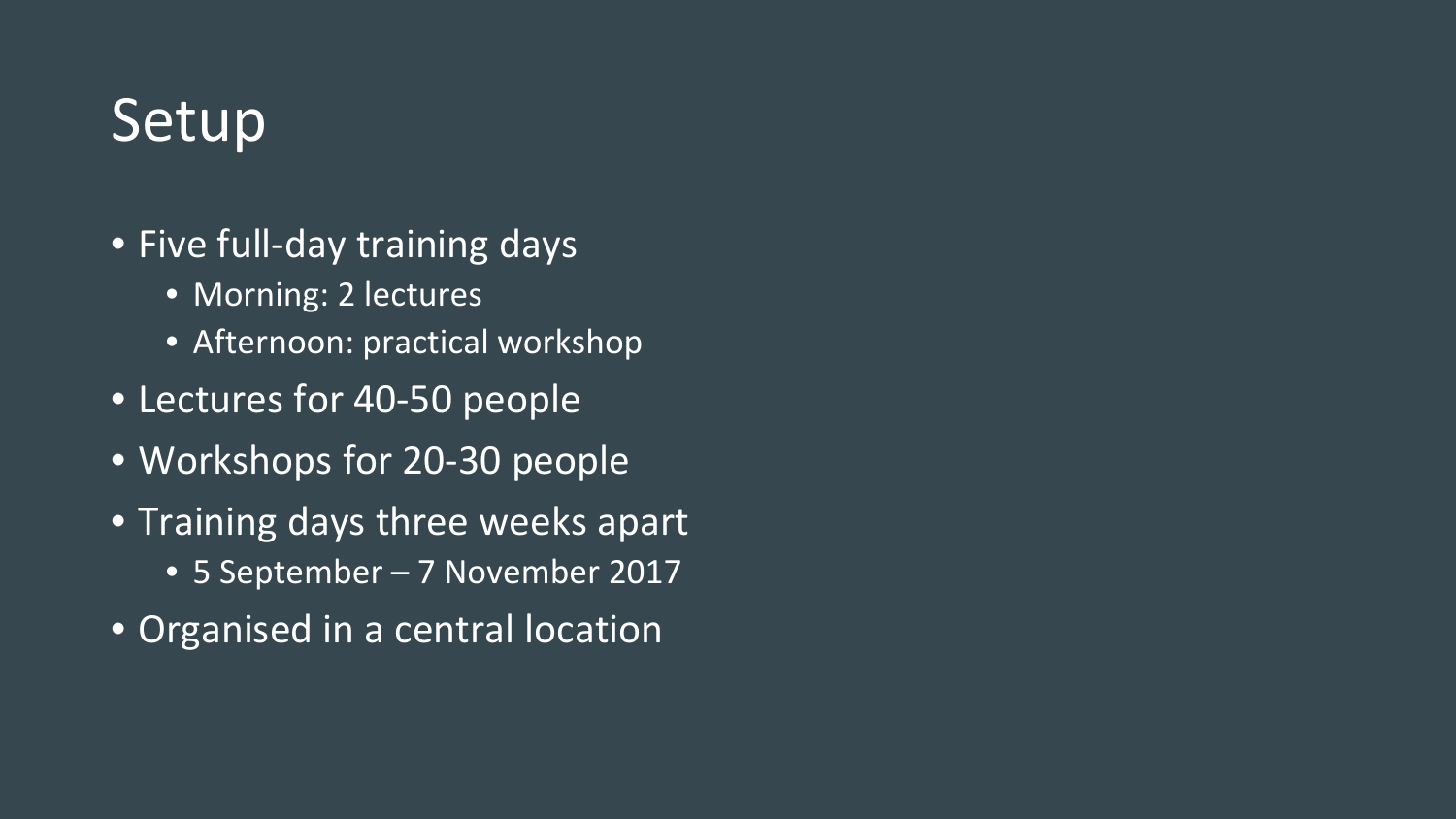#### Setup

- Five full-day training days
	- Morning: 2 lectures
	- Afternoon: practical workshop
- Lectures for 40-50 people
- Workshops for 20-30 people
- Training days three weeks apart
	- 5 September 7 November 2017
- Organised in a central location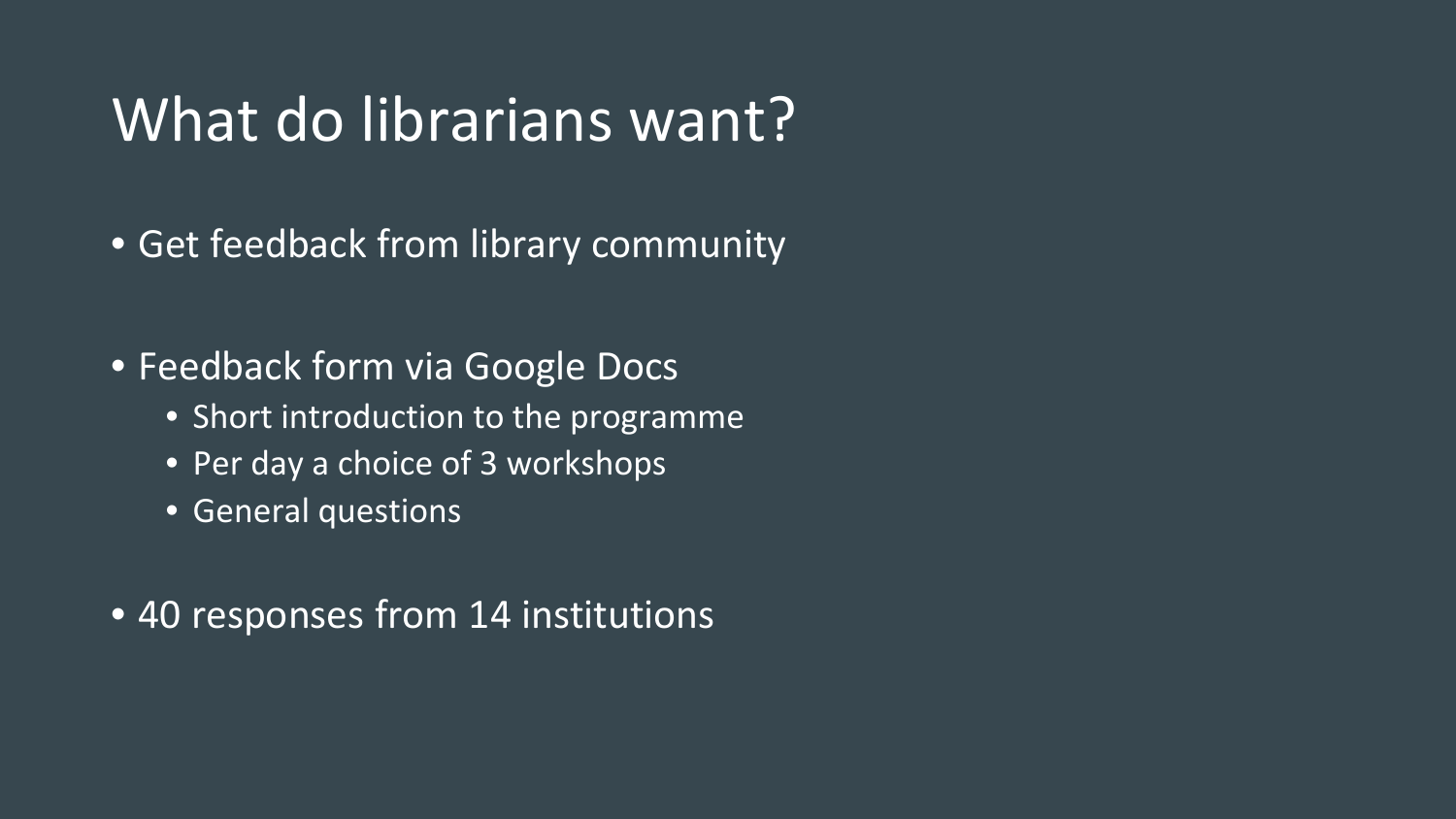#### What do librarians want?

- Get feedback from library community
- Feedback form via Google Docs
	- Short introduction to the programme
	- Per day a choice of 3 workshops
	- General questions
- 40 responses from 14 institutions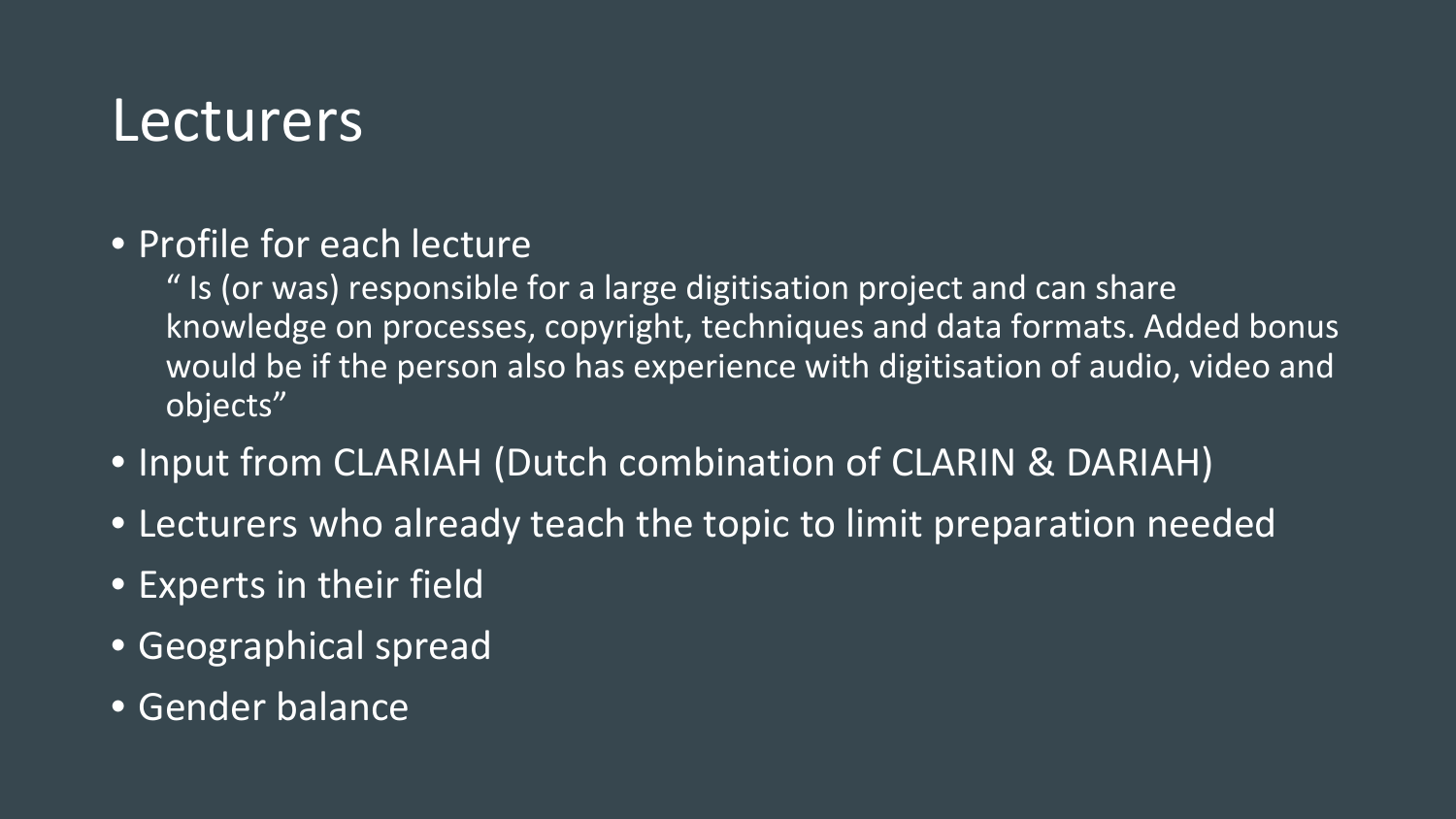#### Lecturers

• Profile for each lecture

" Is (or was) responsible for a large digitisation project and can share knowledge on processes, copyright, techniques and data formats. Added bonus would be if the person also has experience with digitisation of audio, video and objects"

- Input from CLARIAH (Dutch combination of CLARIN & DARIAH)
- Lecturers who already teach the topic to limit preparation needed
- Experts in their field
- Geographical spread
- Gender balance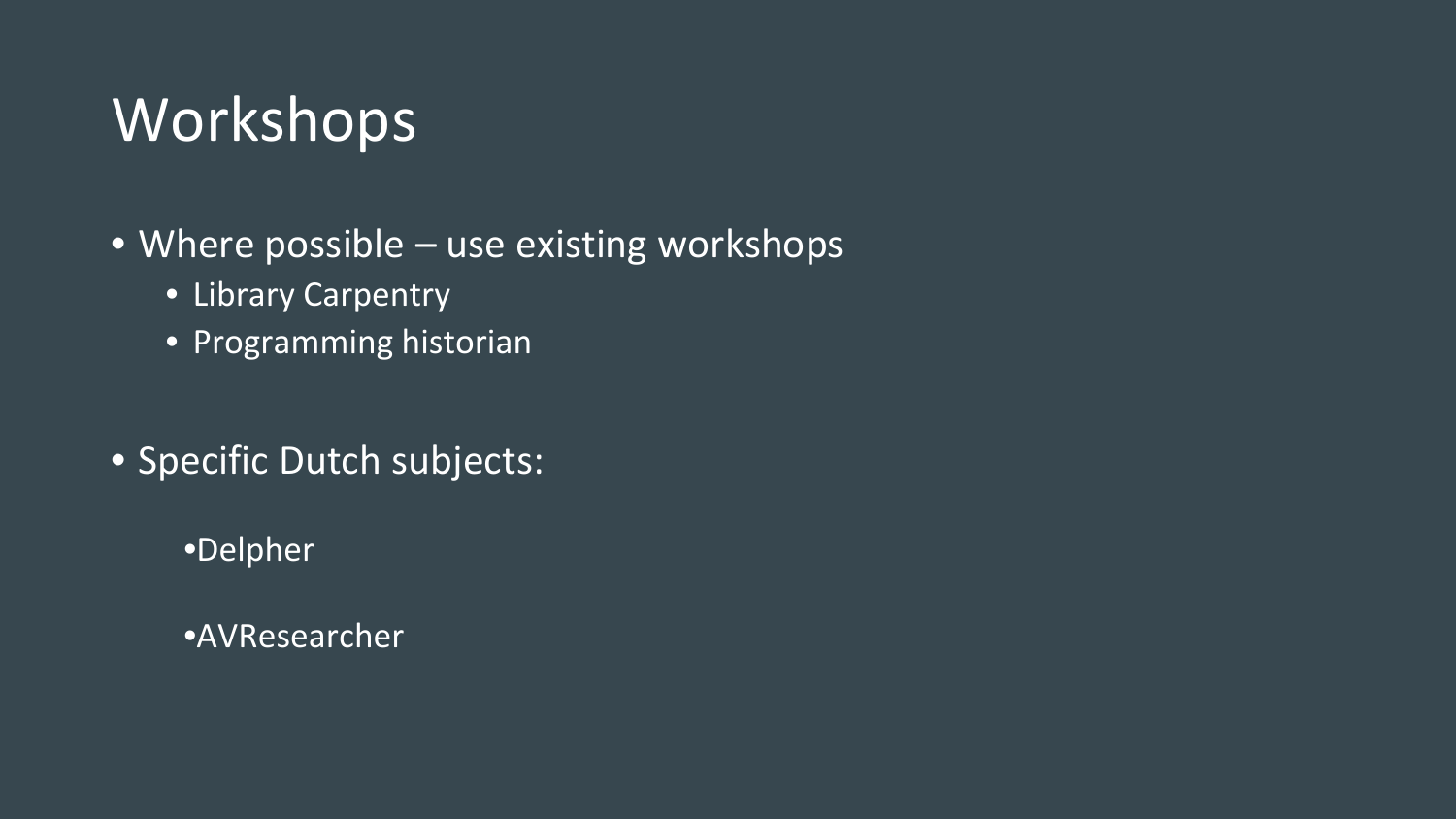#### Workshops

- Where possible use existing workshops
	- Library Carpentry
	- Programming historian
- Specific Dutch subjects:
	- •Delpher
	- •AVResearcher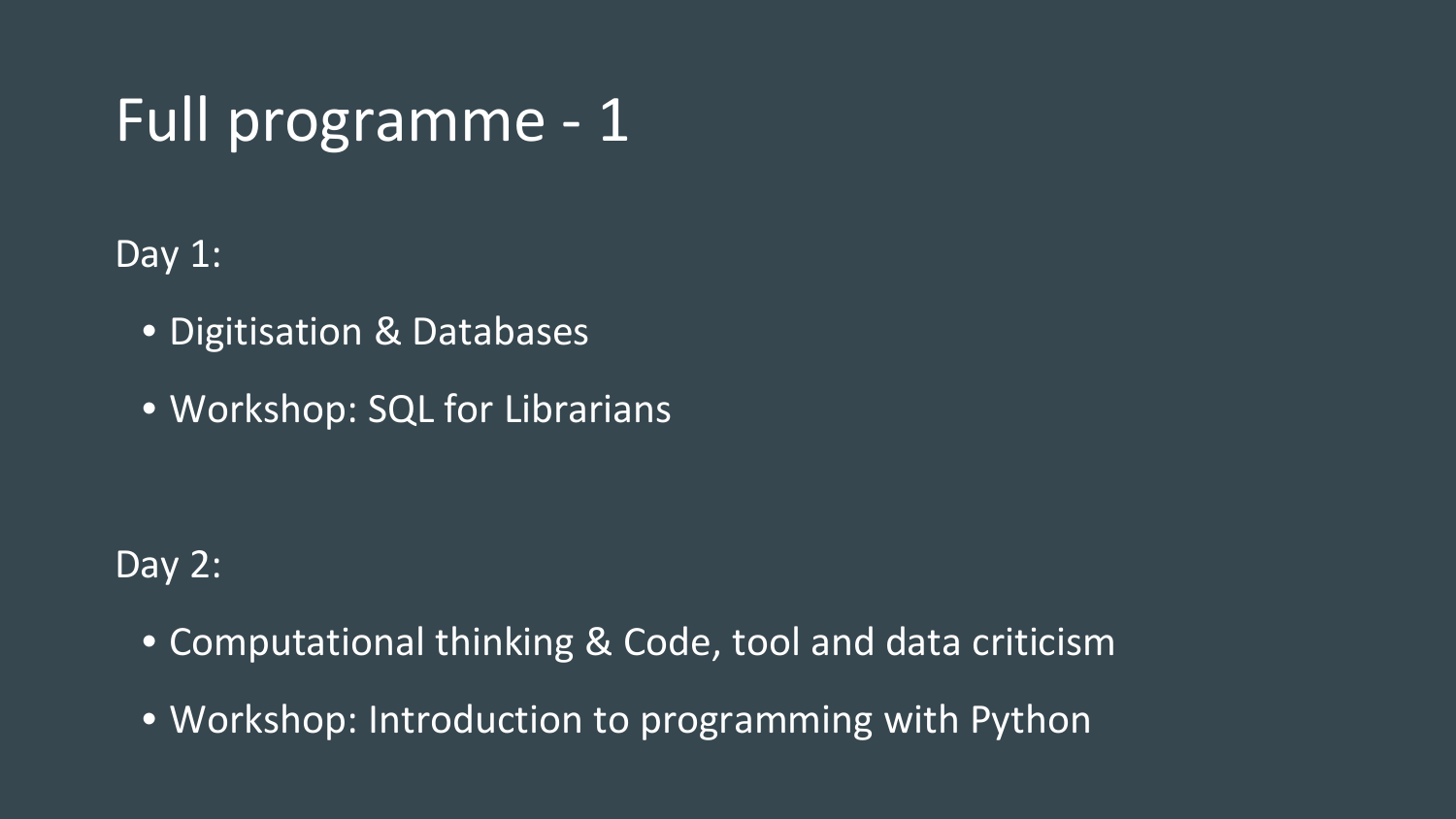### Full programme - 1

Day 1:

- Digitisation & Databases
- Workshop: SQL for Librarians

Day 2:

- Computational thinking & Code, tool and data criticism
- Workshop: Introduction to programming with Python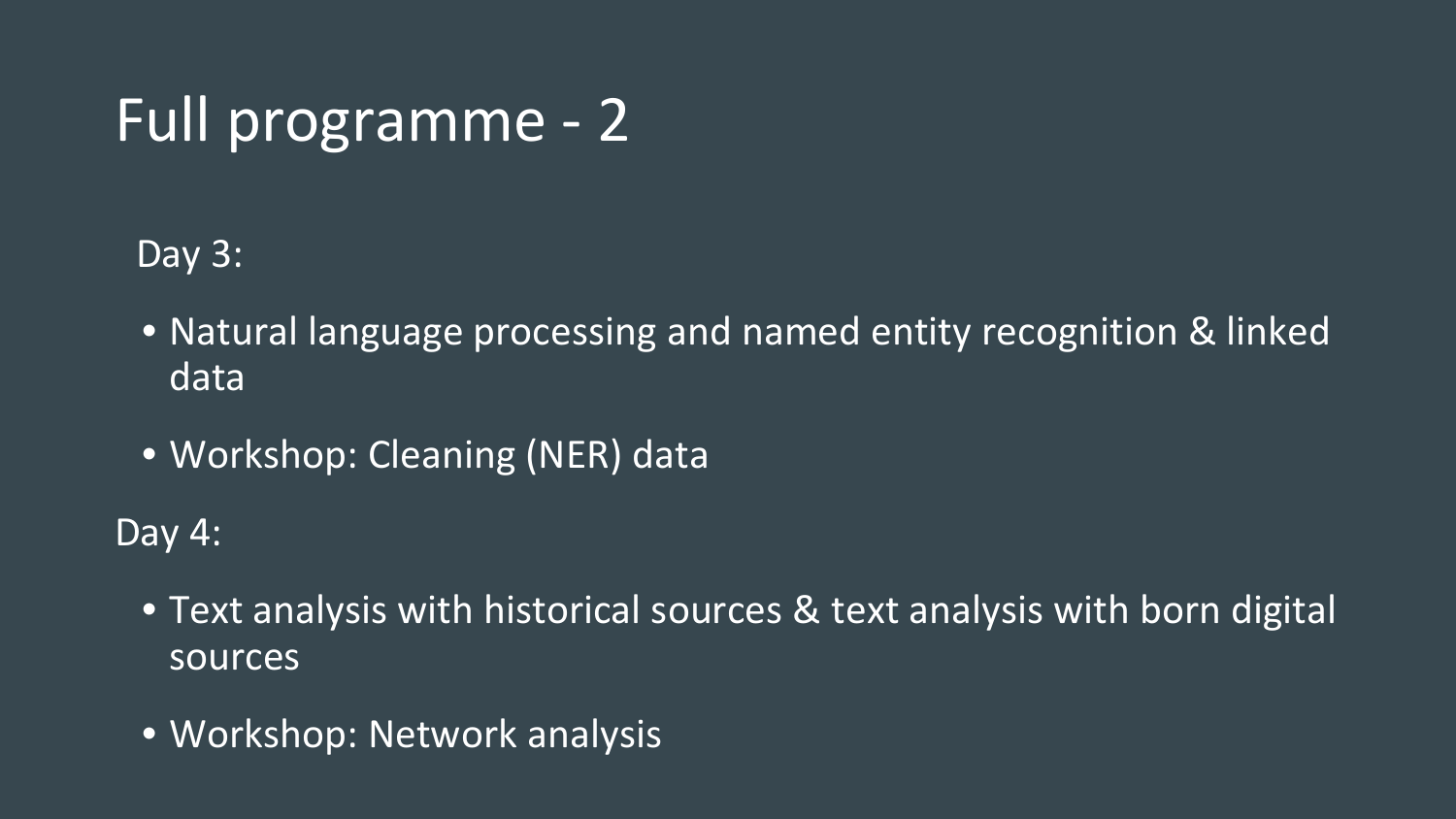## Full programme - 2

Day 3:

- Natural language processing and named entity recognition & linked data
- Workshop: Cleaning (NER) data

Day 4:

- Text analysis with historical sources & text analysis with born digital sources
- Workshop: Network analysis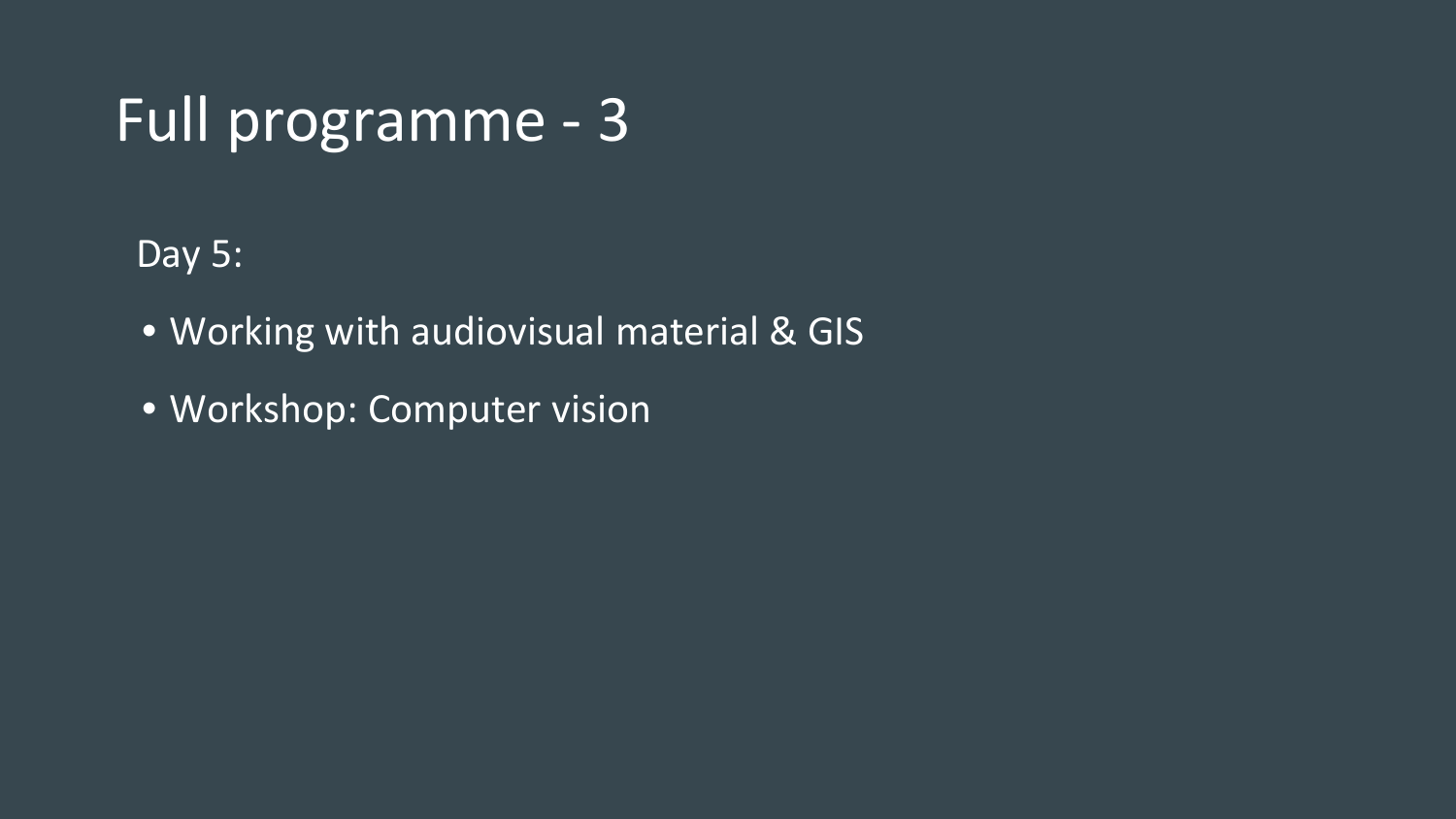### Full programme - 3

Day 5:

- Working with audiovisual material & GIS
- Workshop: Computer vision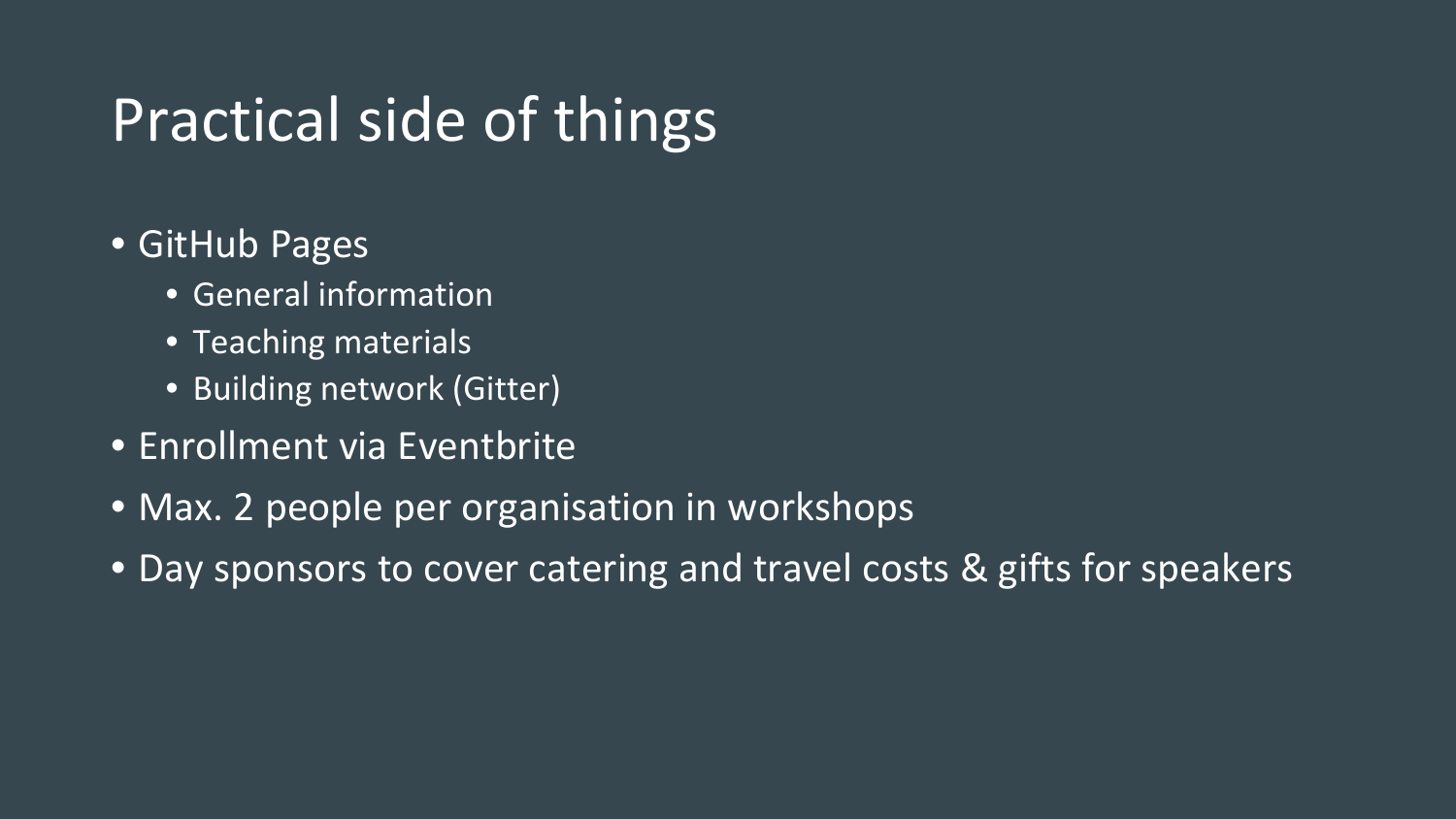### Practical side of things

- GitHub Pages
	- General information
	- Teaching materials
	- Building network (Gitter)
- Enrollment via Eventbrite
- Max. 2 people per organisation in workshops
- Day sponsors to cover catering and travel costs & gifts for speakers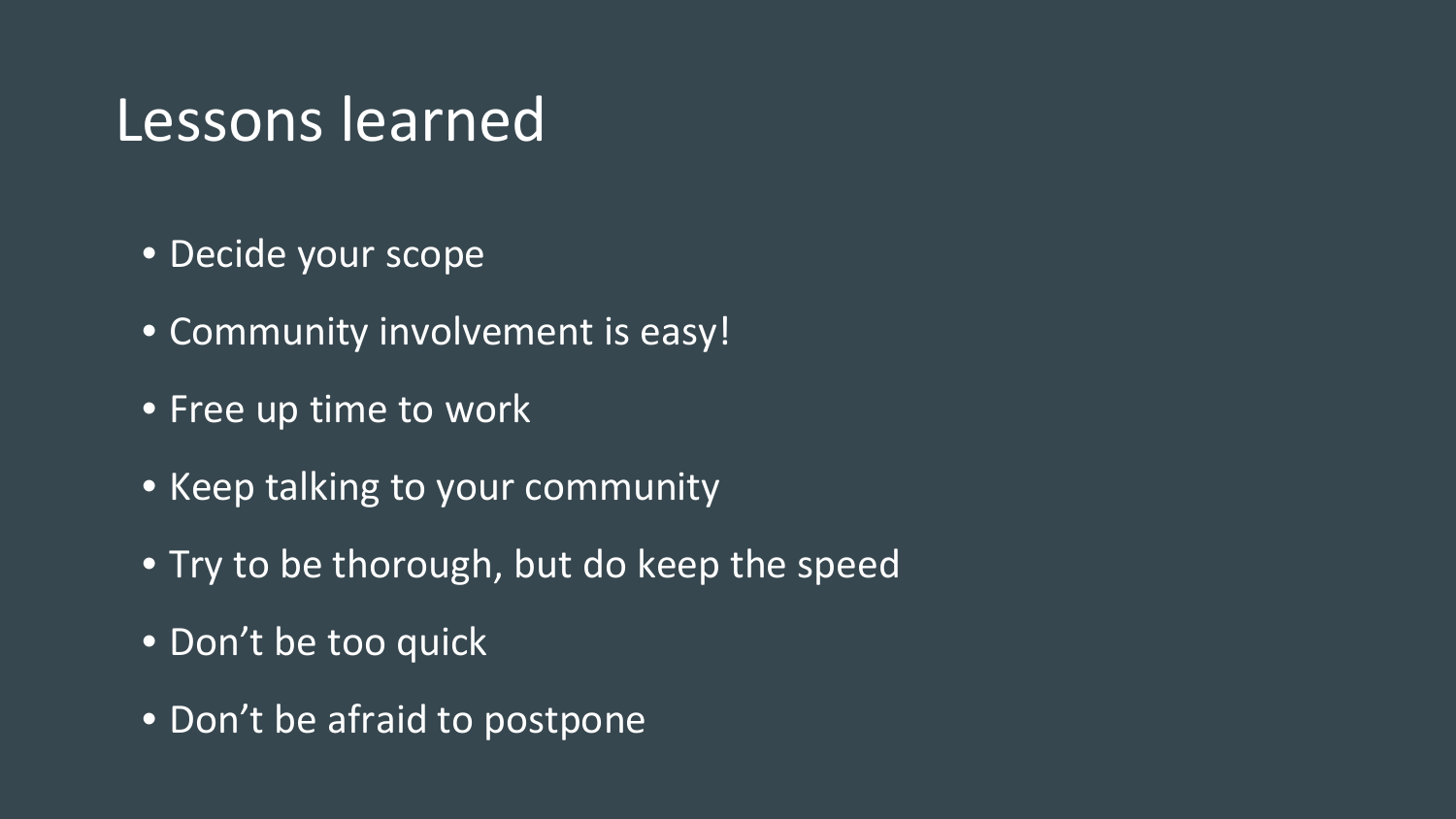#### Lessons learned

- Decide your scope
- Community involvement is easy!
- Free up time to work
- Keep talking to your community
- Try to be thorough, but do keep the speed
- Don't be too quick
- Don't be afraid to postpone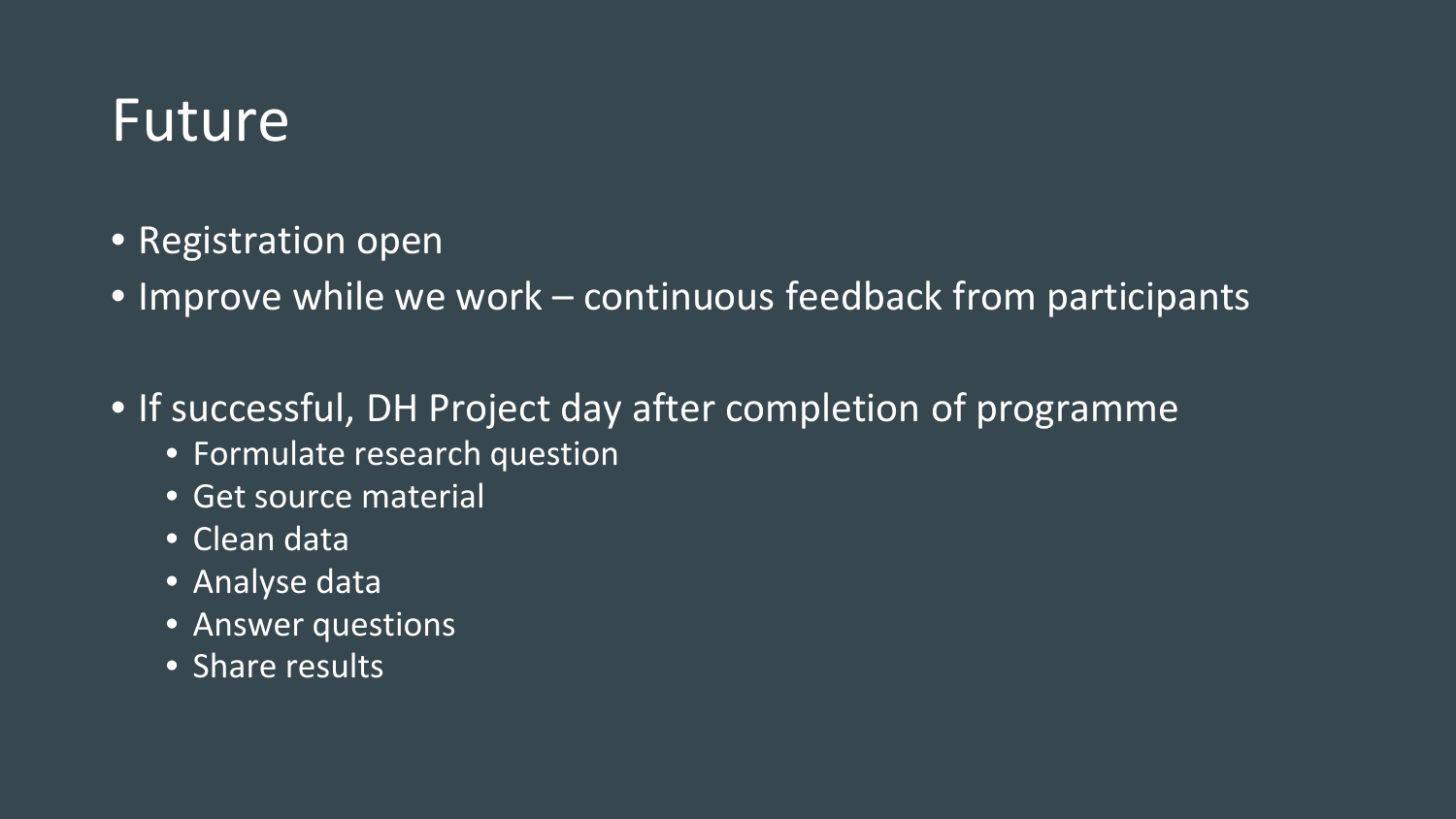#### Future

- Registration open
- Improve while we work continuous feedback from participants
- If successful, DH Project day after completion of programme
	- Formulate research question
	- Get source material
	- Clean data
	- Analyse data
	- Answer questions
	- Share results